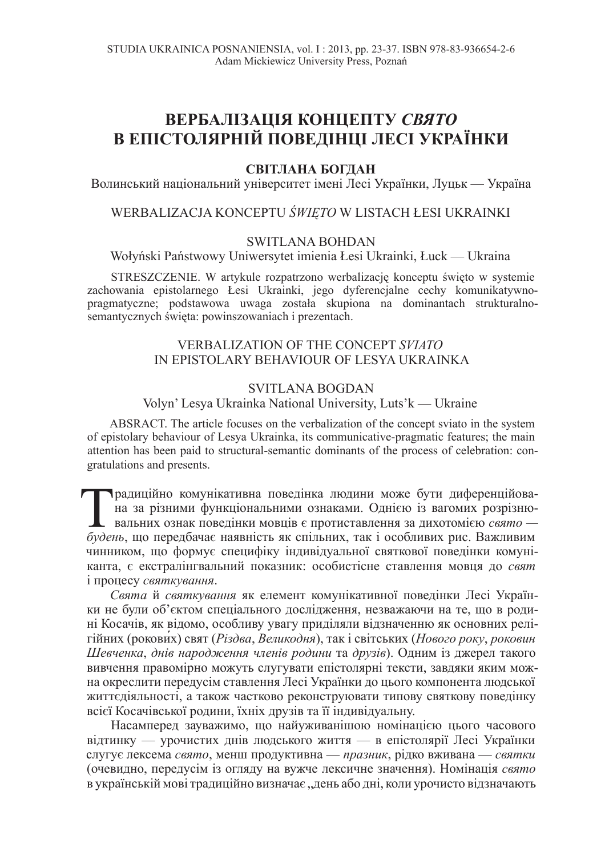# ВЕРБАЛІЗАЦІЯ КОНЦЕПТУ СВЯТО В ЕПІСТОЛЯРНІЙ ПОВЕДІНЦІ ЛЕСІ УКРАЇНКИ

#### СВІТЛАНА БОГДАН

Волинський національний університет імені Лесі Українки, Луцьк — Україна

# WERBALIZACJA KONCEPTU *ĝWIĉTO* W LISTACH àESI UKRAINKI

# SWITLANA BOHDAN

Wołyński Państwowy Uniwersytet imienia Łesi Ukrainki, Łuck — Ukraina

STRESZCZENIE. W artykule rozpatrzono werbalizację konceptu święto w systemie zachowania epistolarnego Łesi Ukrainki, jego dyferencjalne cechy komunikatywnopragmatyczne; podstawowa uwaga zostaáa skupiona na dominantach strukturalnosemantycznych święta: powinszowaniach i prezentach.

# VERBALIZATION OF THE CONCEPT *SVIATO* IN EPISTOLARY BEHAVIOUR OF LESYA UKRAINKA

#### SVITLANA BOGDAN

Volyn' Lesya Ukrainka National University, Luts'k — Ukraine

ABSRACT. The article focuses on the verbalization of the concept sviato in the system of epistolary behaviour of Lesya Ukrainka, its communicative-pragmatic features; the main attention has been paid to structural-semantic dominants of the process of celebration: congratulations and presents.

**E радиційно комунікативна поведінка людини може бути диференційова** на за різними функціональними ознаками. Однією із вагомих розрізнювальних ознак поведінки мовців є протиставлення за дихотомією свято — будень, що перед прадиційно комунікативна поведінка людини може бути диференційована за різними функціональними ознаками. Однією із вагомих розрізнювальних ознак поведінки мовців є протиставлення за дихотомією свято чинником, що формує специфіку індивідуальної святкової поведінки комуніканта, є екстралінгвальний показник: особистісне ставлення мовця до свят *i* процесу *святкування*.

Свята й святкування як елемент комунікативної поведінки Лесі Українки не були об'єктом спеціального дослідження, незважаючи на те, що в родині Косачів, як відомо, особливу увагу приділяли відзначенню як основних релігійних (рокових) свят (Різдва, Великодня), так і світських (Нового року, роковин Шевченка, днів народження членів родини та друзів). Одним із джерел такого вивчення правомірно можуть слугувати епістолярні тексти, завдяки яким можна окреслити передусім ставлення Лесі Українки до цього компонента людської життєдіяльності, а також частково реконструювати типову святкову поведінку всієї Косачівської родини, їхніх друзів та її індивідуальну.

Насамперед зауважимо, що найуживанішою номінацією цього часового вілтинку — урочистих лнів люлського життя — в епістолярії Лесі Українки слугує лексема *свято*, менш продуктивна — *празник*, рідко вживана — *святки* (очевидно, передусім із огляду на вужче лексичне значення). Номінація свято в українській мові традиційно визначає "день або дні, коли урочисто відзначають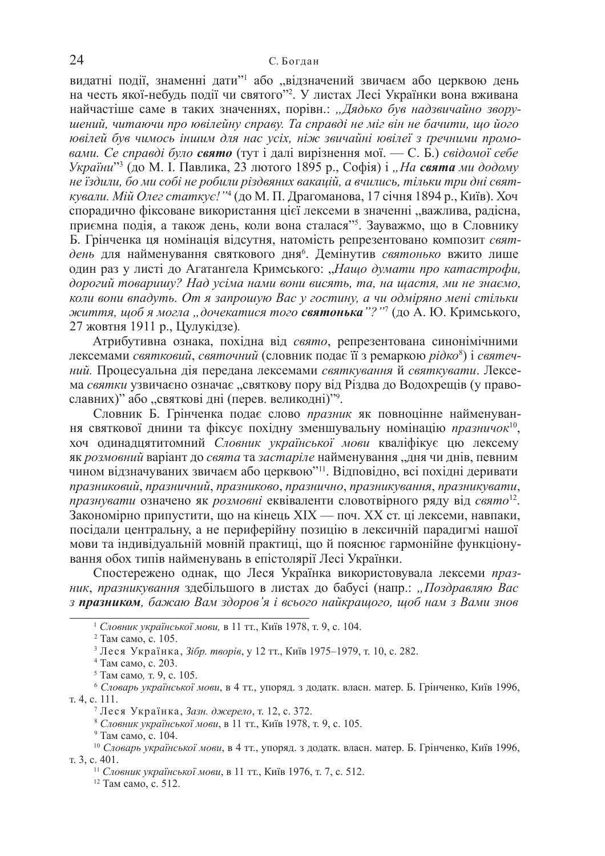видатні події, знаменні дати"<sup>1</sup> або "відзначений звичаєм або церквою день на честь якої-небудь події чи святого"<sup>2</sup>. У листах Лесі Українки вона вживана найчастіше саме в таких значеннях, порівн.: "Дядько був надзвичайно звору*иений*, читаючи про ювілейну справу. Та справді не міг він не бачити, що його **ювілей був чимось іншим для нас усіх, ніж звичайні ювілеї з ґречними промо***вами. Се справді було свято* (тут і далі вирізнення мої. — С. Б.) свідомої себе *України*"<sup>3</sup> (до М. І. Павлика, 23 лютого 1895 р., Софія) і "На свята ми додому *не їздили, бо ми собі не робили різдвяних вакацій, а вчились, тільки три дні святкували. Мій Олег статкує!''*4 (до М. П. Драгоманова, 17 січня 1894 р., Київ). Хоч спорадично фіксоване використання цієї лексеми в значенні "важлива, радісна, приємна подія, а також день, коли вона сталася"<sup>5</sup>. Зауважмо, що в Словнику Б. Грінченка ця номінація відсутня, натомість репрезентовано композит святдень для найменування святкового дня<sup>6</sup>. Демінутив святонько вжито лише один раз у листі до Агатанґела Кримського: "Нащо думати про катастрофи,  $\partial$ орогий товаришу? Над усіма нами вони висять, та, на щастя, ми не знаємо, *коли вони впадуть. От я запрошую Вас у гостину, а чи одміряно мені стільки*  $\pi$ еиття, щоб я могла "дочекатися того **святонька**"?"<sup>7</sup> (до А. Ю. Кримського, 27 жовтня 1911 p., Цулукідзе).

Атрибутивна ознака, похідна від свято, репрезентована синонімічними лексемами *святковий, святочний* (словник подає її з ремаркою *рідко*<sup>8</sup>) і *святеч*ний. Процесуальна дія передана лексемами святкування й святкувати. Лексема *святки* узвичаєно означає "святкову пору від Різдва до Водохрещів (у православних)" або "святкові дні (перев. великодні)"9.

Словник Б. Грінченка подає слово празник як повноцінне найменування святкової днини та фіксує похідну зменшувальну номінацію празничок<sup>10</sup>, хоч одинадцятитомний Словник української мови кваліфікує цю лексему як розмовний варіант до свята та застаріле найменування "дня чи днів, певним чином відзначуваних звичаєм або церквою"<sup>11</sup>. Відповідно, всі похідні деривати празниковий, празничний, празниково, празнично, празникування, празникувати, *празнувати* означено як розмовні еквіваленти словотвірного ряду від свято<sup>12</sup>. Закономірно припустити, що на кінець XIX — поч. XX ст. ці лексеми, навпаки, посідали центральну, а не периферійну позицію в лексичній парадигмі нашої мови та індивідуальній мовній практиці, що й пояснює гармонійне функціонування обох типів найменувань в епістолярії Лесі Українки.

Спостережено однак, що Леся Українка використовувала лексеми праз*ник, празникування* здебільшого в листах до бабусі (напр.: "Поздравляю Вас з празником, бажаю Вам здоров'я і всього найкращого, щоб нам з Вами знов

<sup>&</sup>lt;sup>1</sup> Словник української мови, в 11 тт., Київ 1978, т. 9, с. 104.

<sup>&</sup>lt;sup>2</sup> Там само, с. 105.

<sup>&</sup>lt;sup>3</sup> Леся Українка, *Зібр. творів*, у 12 тт., Київ 1975–1979, т. 10, с. 282.

<sup>&</sup>lt;sup>4</sup> Там само, с. 203.

<sup>&</sup>lt;sup>5</sup> Там само. т. 9, с. 105.

<sup>&</sup>lt;sup>6</sup> *Словарь української мови*. в 4 тт., упоряд. з додатк. власн. матер. Б. Грінченко. Київ 1996, т. 4, с. 111.

<sup>&</sup>lt;sup>7</sup> Леся Українка, Зазн. джерело, т. 12, с. 372.

<sup>&</sup>lt;sup>8</sup> Словник української мови, в 11 тт., Київ 1978, т. 9, с. 105.

 $9$  Там само, с. 104.

<sup>&</sup>lt;sup>10</sup> Словарь української мови, в 4 тт., упоряд. з додатк. власн. матер. Б. Грінченко, Київ 1996, т. 3, с. 401.

<sup>&</sup>lt;sup>11</sup> *Словник української мови*, в 11 тт., Київ 1976, т. 7, с. 512.

<sup>&</sup>lt;sup>12</sup> Там само, с. 512.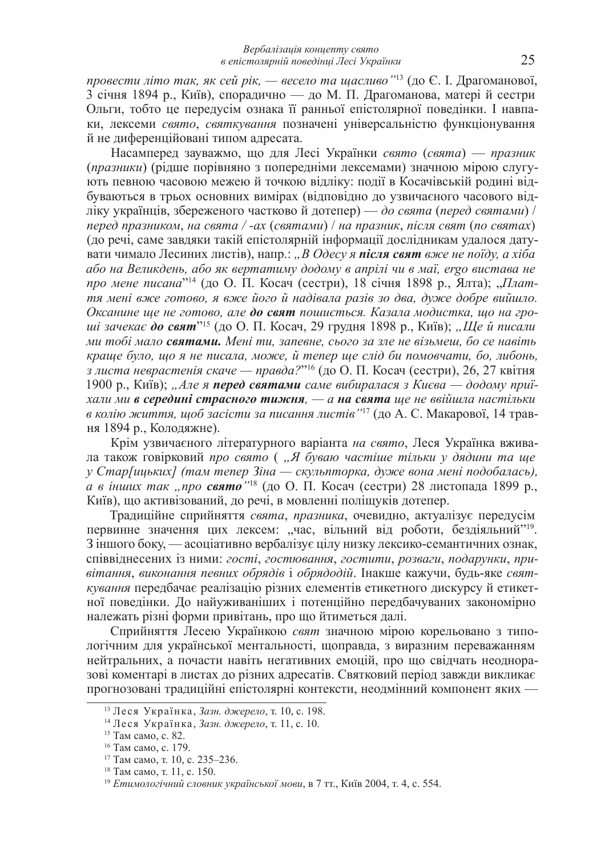*провести літо так, як сей рік, — весело та щасливо* "<sup>13</sup> (до Є. І. Драгоманової, 3 січня 1894 p., Київ), спорадично — до М. П. Драгоманова, матері й сестри Ольги, тобто це передусім ознака її ранньої епістолярної поведінки. І навпаки, лексеми *свято*, *святкування* позначені універсальністю функціонування й не диференційовані типом адресата.

Насамперед зауважмо, що для Лесі Українки свято (свята) — празник (*празники*) (рідше порівняно з попередніми лексемами) значною мірою слугують певною часовою межею й точкою відліку: події в Косачівській родині відбуваються в трьох основних вимірах (відповідно до узвичаєного часового відліку українців, збереженого частково й дотепер) — до свята (перед святами) / *nеред празником, на свята / -ax (святами) / на празник, після свят (по святах)* (до речі, саме завдяки такій епістолярній інформації дослідникам удалося датувати чимало Лесиних листів), напр.: "В Одесу я **після свят** вже не поїду, а хіба  $\overline{a}$ бо на Великдень, або як вертатиму додому в апрілі чи в маї, егдо вистава не *про мене писана*"<sup>14</sup> (до О. П. Косач (сестри), 18 січня 1898 р., Ялта); "*Плаття мені вже готово, я вже його й надівала разів зо два, дуже добре вийшло.* Оксанине ще не готово, але до свят пошиється. Казала модистка, що на гро*ші зачекає до свят''<sup>15</sup> (до О. П. Косач, 29 грудня 1898 р., Київ); "Ще й писали*  $\mu$ и тобі мало **святами.** Мені ти, запевне, сього за зле не візьмеш, бо се навіть *краще було, що я не писала, може, й тепер ще слід би помовчати, бо, либонь,* з листа неврастенія скаче — правда?"<sup>16</sup> (до О. П. Косач (сестри), 26, 27 квітня 1900 р., Київ); "Але я **перед святами** саме вибиралася з Києва — додому приї $x$ али ми в середині страсного тижня, — а на свята ще не ввійшла настільки *в колію життя, щоб засісти за писання листів* ''<sup>17</sup> (до А. С. Макарової, 14 травня 1894 р., Колодяжне).

Крім узвичаєного літературного варіанта на свято, Леся Українка вживада також говірковий про свято ("Я буваю частіше тільки у дядини та ще  $\gamma$  *Стар[ицьких] (там тепер Зіна — скульпторка, дуже вона мені подобалась), а в інших так "про свято* "<sup>18</sup> (до О. П. Косач (сестри) 28 листопада 1899 р., Київ), що активізований, до речі, в мовленні поліщуків дотепер.

Традиційне сприйняття свята, празника, очевидно, актуалізує передусім первинне значення цих лексем: "час, вільний від роботи, бездіяльний"<sup>19</sup>. 3 іншого боку, — асоціативно вербалізує цілу низку лексико-семантичних ознак, співвіднесених із ними: *гості*, *гостювання*, *гостити*, розваги, подарунки, привітання, виконання певних обрядів і обрядодій. Інакше кажучи, буль-яке свят*кування* передбачає реалізацію різних елементів етикетного дискурсу й етикетної поведінки. До найуживаніших і потенційно передбачуваних закономірно належать різні форми привітань, про що йтиметься далі.

Сприйняття Лесею Українкою свят значною мірою корельовано з типологічним для української ментальності, щоправда, з виразним переважанням нейтральних, а почасти навіть негативних емоцій, про що свідчать неодноразові коментарі в листах до різних адресатів. Святковий період завжди викликає прогнозовані традиційні епістолярні контексти, неодмінний компонент яких -

<sup>&</sup>lt;sup>13</sup> Леся Українка, Зазн. джерело, т. 10, с. 198.

<sup>&</sup>lt;sup>14</sup> Леся Українка, Зазн. джерело, т. 11, с. 10.

<sup>15</sup> Там само, с. 82.

<sup>&</sup>lt;sup>16</sup> Там само, с. 179.

 $17$  Tam camo, t. 10, c. 235–236.

<sup>&</sup>lt;sup>18</sup> Там само, т. 11, с. 150.

<sup>&</sup>lt;sup>19</sup> *Етимологічний словник української мови*, в 7 тт., Київ 2004, т. 4, с. 554.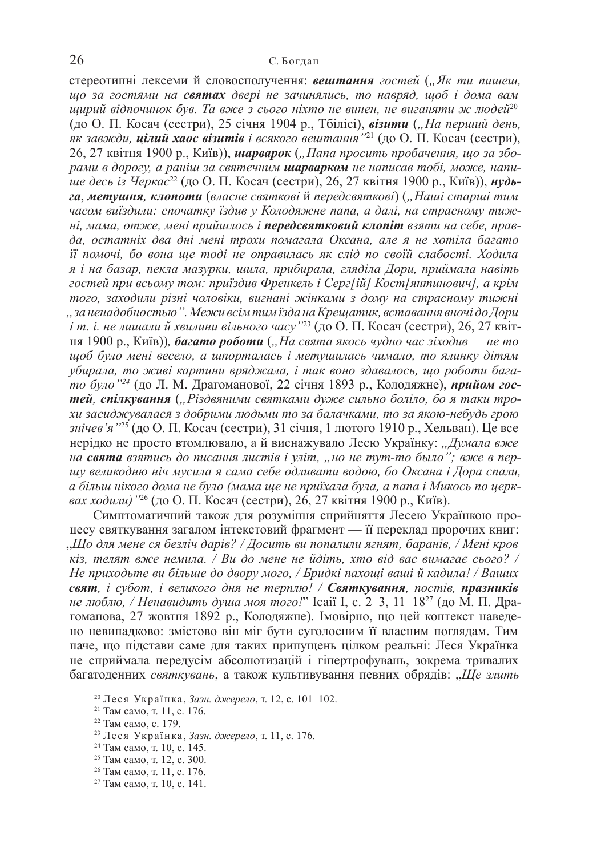стереотипні лексеми й словосполучення: **вештання** гостей ("Як ти пишеш, **и** $\overline{0}$  за гостями на святах двері не зачинялись, то навряд, щоб і дома вам **и** $\mu$ идрий відпочинок був. Та вже з сього ніхто не винен, не виганяти ж людей<sup>20</sup> (до О. П. Косач (сестри), 25 січня 1904 р., Тбілісі), візити ("На перший день, як завжди, **цілий хаос візитів** і всякого вештання ''<sup>21</sup> (до О. П. Косач (сестри), 26, 27 квітня 1900 р., Київ)), шарварок ("Папа просить пробачення, шо за збо $pa_{Mu}$  в дорогу, а раніш за святечним шарварком не написав тобі, може, напитие десь із Черкас<sup>22</sup> (до О. П. Косач (сестри), 26, 27 квітня 1900 р., Київ)), нудь- $2a$ , **метушня**, клопоти (власне святкові й передсвяткові) ("Наші старші тим **часом виїздили: спочатку їздив у Колодяжне папа, а далі, на страсному тиж-** $Hi, MAMA, Om, \nthe$ , мені прийшлось і **передсвятковий клопіт** взяти на себе, правда, остатніх два дні мені трохи помагала Оксана, але я не хотіла багато  $i$ *й* помочі, бо вона ще тоді не оправилась як слід по своїй слабості. Ходила я *і* на базар, пекла мазурки, шила, прибирала, гляділа Дори, приймала навіть  $i$ Серг[ $i$ й] *Кост*[янтинович], а крім  $m$ <sub>020</sub>, заходили різні чоловіки, вигнані жінками з дому на страсному тижні , за ненадобностью". Межи всім тим їзда на Крещатик, вставання вночі до Дори  $i$  m.  $i$ . не лишали й хвилини вільного часу '' $^{23}$  (до О. П. Косач (сестри), 26, 27 квіт**ня 1900 р., Київ)), багато роботи** ("На свята якось чудно час зіходив — не то  $\mu$  $\mu$ об було мені весело, а шпорталась і метушилась чимало, то ялинку дітям  $y6upa\pi a$ , то живі картини вряджала, і так воно здавалось, що роботи бага*то було* "<sup>24</sup> (до Л. М. Драгоманової, 22 січня 1893 р., Колодяжне), прийом гос $m$ ей, спілкування ("Різдвяними святками дуже сильно боліло, бо я таки тро $xu$  засиджувалася з добрими людьми то за балачками, то за якою-небудь грою *знічев'я* "<sup>25</sup> (до О. П. Косач (сестри), 31 січня, 1 лютого 1910 р., Хельван). Це все нерідко не просто втомлювало, а й виснажувало Лесю Українку: "Думала вже *на* **свята** взятись до писання листів і уліт, "но не тут-то было"; вже в периу великодню ніч мусила я сама себе одливати водою, бо Оксана і Дора спали,  $a$  більш нікого дома не було (мама ще не приїхала була, а папа і Микось по церк-<u>вах ходили)</u> <sup>26</sup> (до О. П. Косач (сестри), 26, 27 квітня 1900 р., Київ).

Симптоматичний також для розуміння сприйняття Лесею Українкою процесу святкування загалом інтекстовий фрагмент — її переклад пророчих книг:  $\Box$ *HIo для мене ся безліч дарів? / Досить ви попалили ягнят, баранів, / Мені кров к* $i$ з, телят вже немила. / Ви до мене не йдіть, хто від вас вимагає сього? / He приходьте ви більше до двору мого. / Бридкі пахоші ваші й кадила! / Ваших  $\alpha$ *kam*, *i субот, i великого дня не терплю! / Святкування, постів, празників не люблю, / Ненавидить душа моя того!*" Icaiï I, с. 2–3, 11–18<sup>27</sup> (до М. П. Драгоманова, 27 жовтня 1892 р., Колодяжне). Імовірно, що цей контекст наведено невипадково: змістово він міг бути суголосним її власним поглядам. Тим паче, що підстави саме для таких припущень цілком реальні: Леся Українка не сприймала передусім абсолютизацій і гіпертрофувань, зокрема тривалих багатоденних святкувань, а також культивування певних обрядів: "Ще злить

<sup>&</sup>lt;sup>20</sup> Леся Українка, Зазн. джерело, т. 12, с. 101–102.

<sup>&</sup>lt;sup>21</sup> Там само, т. 11, с. 176.

<sup>&</sup>lt;sup>22</sup> Там само, с. 179.

<sup>&</sup>lt;sup>23</sup> Леся Українка, Зазн. джерело, т. 11, с. 176.

<sup>&</sup>lt;sup>24</sup> Там само, т. 10, с. 145.

<sup>&</sup>lt;sup>25</sup> Там само, т. 12, с. 300.

<sup>&</sup>lt;sup>26</sup> Там само, т. 11, с. 176.

<sup>&</sup>lt;sup>27</sup> Там само, т. 10, с. 141.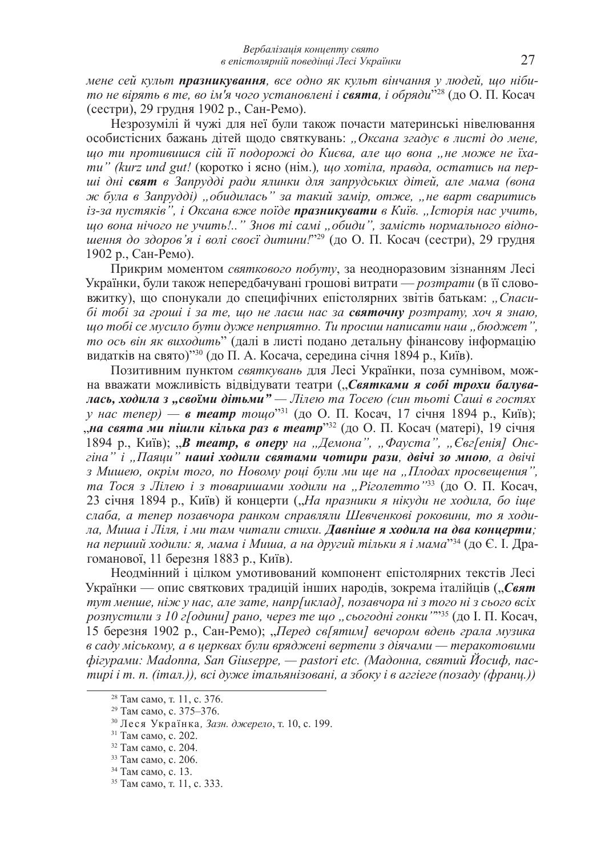$M$ ене сей культ **празникування**, все одно як культ вінчання у людей, що ніби*то не вірять в те, во ім'я чого установлені і свята, і обряди"* $^{28}$  *(до О. П. Косач* (сестри), 29 грудня 1902 р., Сан-Ремо).

Незрозумілі й чужі для неї були також почасти материнські нівелювання особистісних бажань дітей щодо святкувань: "Оксана згадує в листі до мене, **ию ти протившися сій її подорожі до Києва, але шо вона "не може не їха***ти*" (kurz und gut! (коротко *і* ясно (нім.), що хотіла, правда, остатись на пер $i$ *wi дні свят в Запрудді ради ялинки для запрудських дітей, але мама (вона*  $x^2$  *x <del>c</del> <i>z*anpyddi) ", обидилась" за такий замір, отже, "не варт сваритись iз-за пустякие", *i Оксана вже поїде празникувати в Київ.* "Історія нас учить,  $\mu$ до вона нічого не учить!.." Знов ті самі "обиди", замість нормального відно- $\mu$ ення до здоров'я і волі своєї дитини.<sup>1929</sup> (до О. П. Косач (сестри), 29 грудня 1902 р., Сан-Ремо).

Прикрим моментом святкового побуту, за неодноразовим зізнанням Лесі Українки, були також непередбачувані грошові витрати — розтрати (в її слововжитку), що спонукали до специфічних епістолярних звітів батькам: "Спаси- $\delta$ *i mobi* за гроші *і* за те, що не лаєш нас за святочну розтрату, хоч я знаю,  $\mu$ <sub>*i*</sub> *moбi се мусило бути дуже неприятно. Ти просиш написати наш "бюджет", то ось він як виходить*" (далі в листі подано детальну фінансову інформацію видатків на свято)"<sup>30</sup> (до П. А. Косача, середина січня 1894 р., Київ).

Позитивним пунктом святкувань для Лесі Українки, поза сумнівом, можна вважати можливість відвідувати театри ("Святками я собі трохи балува*лась, ходила з "своїми дітьми*" — Лілею та Тосею (син тьоті Саші в гостях *у нас тепер) — в театр тощо*"<sup>31</sup> (до О. П. Косач, 17 січня 1894 р., Київ); ,,на свята ми пішли кілька раз в театр<sup>332</sup> (до О. П. Косач (матері), 19 січня 1894 р., Київ); "**В театр, в оперу** на "Демона", "Фауста", "Євг[енія] Онє- $\chi$ *iна*" *i*,  $\pi$  $\pi$ *аяци*" **наші ходили святами чотири рази, двічі зо мною**, а двічі з Мишею, окрім того, по Новому році були ми ще на "Плодах просвещения", *та Тося з Лілею і з товаришами ходили на "Ріголетто"*<sup>33</sup> (до О. П. Косач, 23 січня 1894 p., Київ) й концерти ("На празники я нікуди не ходила, бо іше слаба, а тепер позавчора ранком справляли Шевченкові роковини, то я ходи*да*, Миша *і Ліля, і ми там читали стихи*. Давніше я ходила на два кониерти; *на перший ходили: я, мама і Миша, а на другий тільки я і мама<sup>,34</sup> (до Є. І. Дра*гоманової, 11 березня 1883 р., Київ).

Неодмінний і цілком умотивований компонент епістолярних текстів Лесі Українки — опис святкових тралицій інших народів, зокрема італійців ("Свят тут менше, ніж у нас, але зате, напр[иклад], позавчора ні з того ні з сього всіх  $po$ зпустили з 10 г[одини] рано, через те що "сьогодні гонки'""<sup>35</sup> (до І. П. Косач, 15 березня 1902 р., Сан-Ремо); "Перед св[ятим] вечором вдень грала музика  $\theta$  *cady міському, а в церквах були вряджені вертепи з діячами — теракотовими*  $\phi$ *iгурами: Madonna, San Giuseppe, — pastori etc. (Мадонна, святий Йосиф, nac*тирі і т. п. (італ.)), всі дуже італьянізовані, а збоку і в аггіеге (позаду (франи.))

<sup>&</sup>lt;sup>28</sup> Там само, т. 11, с. 376.

<sup>&</sup>lt;sup>29</sup> Там само, с. 375–376.

<sup>&</sup>lt;sup>30</sup> Леся Українка, Зазн. джерело, т. 10, с. 199.

<sup>&</sup>lt;sup>31</sup> Там само, с. 202.

<sup>&</sup>lt;sup>32</sup> Там само, с. 204.

<sup>&</sup>lt;sup>33</sup> Там само, с. 206.

<sup>&</sup>lt;sup>34</sup> Там само, с. 13.

<sup>&</sup>lt;sup>35</sup> Там само, т. 11, с. 333.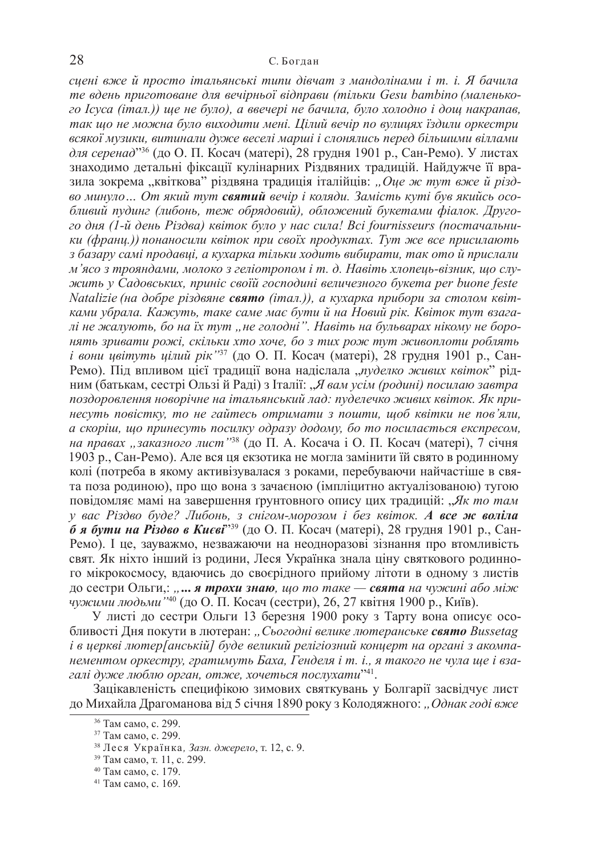$c$ *чені вже й просто італьянські типи дівчат з мандолінами і т. і. Я бачила* те вдень приготоване для вечірньої відправи (тільки Gesu bambino (маленько- $20$  *cyca* (*iman.*)) ще не було), а ввечері не бачила, було холодно і дощ накрапав, так що не можна було виходити мені. Цілий вечір по вулицях їздили оркестри *ɜɫɹɤɨʀ ɦɭɡɢɤɢ, ɜɢɬɢɧɚɥɢ ɞɭɠɟ ɜɟɫɟɥɿ ɦɚɪɲɿ ɿ ɫɥɨɧɹɥɢɫɶ ɩɟɪɟɞ ɛɿɥɶɲɢɦɢ ɜɿɥɥɚɦɢ для серенад*<sup>336</sup> (до О. П. Косач (матері), 28 грудня 1901 р., Сан-Ремо). У листах знаходимо детальні фіксації кулінарних Різдвяних традицій. Найдужче її вразила зокрема "квіткова" різдвяна традиція італійців: "Оце ж тут вже й різд- $\boldsymbol{\delta}$  *ыннуло... От який тут святий вечір і коляди. Замість куті був якийсь осо-* $6\pi$ ивий пудинг (либонь, теж обрядовий), обложений букетами фіалок. Друго- $20$  дня (1-й день Різдва) квіток було у нас сила! Всі fournisseurs (постачальни $ku$  (франц.)) понаносили квіток при своїх продуктах. Тут же все присилають з базару самі продавці, а кухарка тільки ходить вибирати, так ото й прислали м'ясо з трояндами, молоко з геліотропом і т. д. Навіть хлопець-візник, що слу $x$ сить у Садовських, приніс своїй господині величезного букета per buone feste *Natalizie* (на добре різдвяне свято (італ.)), а кухарка прибори за столом квітками убрала. Кажуть, таке саме має бути й на Новий рік. Квіток тут взагалі не жалують, бо на їх тут "не голодні". Навіть на бульварах нікому не боро*ɧɹɬɶ ɡɪɢɜɚɬɢ ɪɨɠɿ, ɫɤɿɥɶɤɢ ɯɬɨ ɯɨɱɟ, ɛɨ ɡ ɬɢɯ ɪɨɠ ɬɭɬ ɠɢɜɨɩɥɨɬɢ ɪɨɛɥɹɬɶ і вони цвітуть цілий рік* "<sup>37</sup> (до О. П. Косач (матері), 28 грудня 1901 р., Сан-Ремо). Під впливом цієї традиції вона надіслала "пуделко живих квіток" рідним (батькам, сестрі Ользій Раді) з Італії: "Я вам усім (родині) посилаю завтра поздоровлення новорічне на італьянський лад: пуделечко живих квіток. Як при- $\mu$ есуть повістку, то не гайтесь отримати з пошти, щоб квітки не пов'яли,  $a$  *cкоріш*, *шо принесуть посилку одразу додому*, бо то посилається експресом, *на правах "заказного лист*"<sup>38</sup> (до П. А. Косача і О. П. Косач (матері), 7 січня 1903 р., Сан-Ремо). Але вся ця екзотика не могла замінити їй свято в родинному колі (потреба в якому активізувалася з роками, перебуваючи найчастіше в свята поза родиною), про що вона з зачаєною (імпліцитно актуалізованою) тугою повідомляє мамі на завершення ґрунтовного опису цих традицій: "Як то там *у* вас Різдво буде? Либонь, з снігом-морозом і без квіток. А все ж воліла  $\tilde{\theta}$  **я бути на Різдво в Києві<sup>2,39</sup> (до О. П. Косач (матері), 28 грудня 1901 р., Сан-**Ремо). І це, зауважмо, незважаючи на неодноразові зізнання про втомливість свят. Як ніхто інший із родини, Леся Українка знала ціну святкового родинното мікрокосмосу, влаючись до своєрідного прийому літоти в одному з листів ɞɨ ɫɟɫɬɪɢ Ɉɥɶɝɢ,: *"***...** *ɹ ɬɪɨɯɢ ɡɧɚɸ, ɳɨ ɬɨ ɬɚɤɟ — ɫɜɹɬɚ ɧɚ ɱɭɠɢɧɿ ɚɛɨ ɦɿɠ чужими людьми* "<sup>40</sup> (до О. П. Косач (сестри), 26, 27 квітня 1900 р., Київ).

У листі до сестри Ольги 13 березня 1900 року з Тарту вона описує особливості Дня покути в лютеран: "Сьогодні велике лютеранське свято Bussetag  $i$  в церкві лютер[анській] буде великий релігіозний концерт на органі з акомпа*нементом оркестру, гратимуть Баха, Генделя <i>і т. і., я такого не чула ше і взаɝɚɥɿ ɞɭɠɟ ɥɸɛɥɸ ɨɪɝɚɧ, ɨɬɠɟ, ɯɨɱɟɬɶɫɹ ɩɨɫɥɭɯɚɬɢ*" 41 .

Зацікавленість специфікою зимових святкувань у Болгарії засвідчує лист до Михайла Драгоманова від 5 січня 1890 року з Колодяжного: "Однак годі вже

<sup>&</sup>lt;sup>36</sup> Там само, с. 299.

<sup>37</sup> Там само, с. 299.

<sup>38</sup> Леся Українка, Зазн. джерело, т. 12, с. 9.

<sup>&</sup>lt;sup>39</sup> Там само, т. 11, с. 299.

<sup>&</sup>lt;sup>40</sup> Там само, с. 179.

<sup>&</sup>lt;sup>41</sup> Там само, с. 169.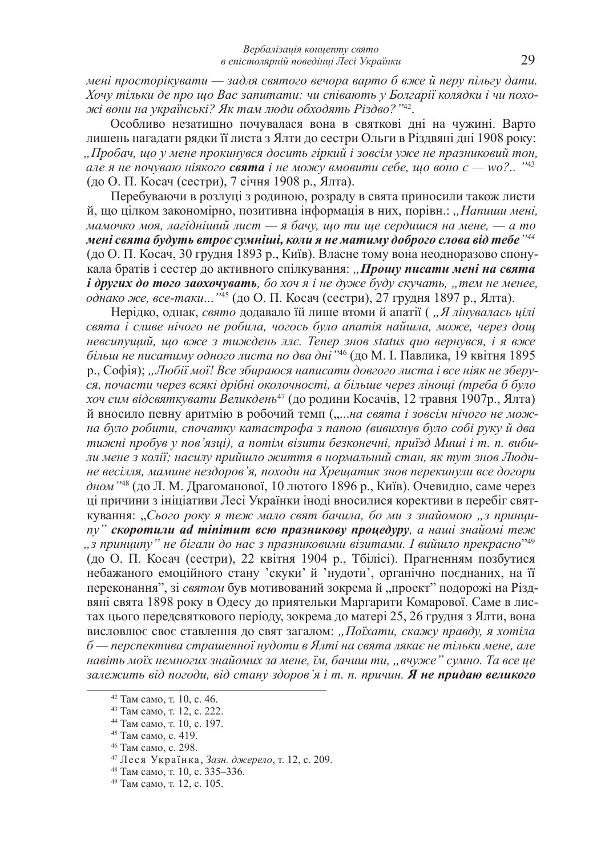$M$ ені просторікувати — задля святого вечора варто б вже й перу пільгу дати.  $X$ ow тільки де про що Вас запитати: чи співають у Болгарії колядки і чи похо- $\pi$ сі вони на українські? Як там люди обходять Різдво?''<sup>42</sup>.

Особливо незатишно почувалася вона в святкові дні на чужині. Варто лишень нагадати рядки її листа з Ялти до сестри Ольги в Різдвяні дні 1908 року:  $\Box$ *<i>∏робач, шо у мене прокинувся досить гіркий і зовсім уже не празниковий тон,*  $a$ ле я не почуваю ніякого **свята** і не можу вмовити себе, що воно  $\epsilon$  — wo?.. ''<sup>43</sup> (до О. П. Косач (сестри), 7 січня 1908 р., Ялта).

Перебуваючи в розлуці з родиною, розраду в свята приносили також листи й, що цілком закономірно, позитивна інформація в них, порівн.: "Напиши мені,  $x^{\text{max}}$  *Maмочко моя, лагідніший лист* — я бачу, що ти ще сердишся на мене, — а то  $\bm{m}$ ені свята будуть втроє сумніші, коли я не матиму доброго слова від тебе '' $^{44}$ (до О. П. Косач, 30 грудня 1893 р., Київ). Власне тому вона неодноразово спонукала братів і сестер до активного спілкування: "Прошу писати мені на свята  $i$  других до того заохочувать, бо хоч я *i* не дуже буду скучать, "тем не менее, *однако же, все-таки...* "<sup>45</sup> (до О. П. Косач (сестри), 27 грудня 1897 р., Ялта).

Нерідко, однак, *свято* додавало їй лише втоми й апатії ( "Я лінувалась цілі  $c$ вята *i* сливе нічого не робила, чогось було апатія найшла, може, через дощ  $\mu$ евсипущий, що вже з тиждень ллє. Тепер знов status quo вернувся, і я вже  $\tilde{o}$ ільш не писатиму одного листа по два дні ''<sup>46</sup> (до М. І. Павлика, 19 квітня 1895 p., Софія); "Любії мої! Все збираюся написати довгого листа і все ніяк не зберу- $\overline{c}$ я, почасти через всякі дрібні околочності, а більше через ліноші (треба б було *хоч сим відсвяткувати Великдень<sup>47</sup>* (до родини Косачів, 12 травня 1907р., Ялта) й вносило певну аритмію в робочий темп ("...на свята і зовсім нічого не мож- $\hat{H}$ а було робити, спочатку катастрофа з папою (вивихнув було собі руку й два тижні пробув у пов'язиі), а потім візити безконечні, приїзд Миші і т. п. вибиди мене з колії; насилу прийшло життя в нормальний стан, як тут знов Люди- $\mu$ е весілля, мамине нездоров'я, походи на Хрещатик знов перекинули все догори дном<sup>1148</sup> (до Л. М. Драгоманової, 10 лютого 1896 р., Київ). Очевидно, саме через ці причини з ініціативи Лесі Українки іноді вносилися корективи в перебіг святкування: "Сього року я теж мало свят бачила, бо ми з знайомою "з принци-*" <i>ckopomunu ad minimum 6cio npaзникову процедуру, а наші знайомі теж* "з принципу" не бігали до нас з празниковими візитами. І вийшло прекрасно" $^{^{249}}$ (до О. П. Косач (сестри), 22 квітня 1904 р., Тбілісі). Прагненням позбутися небажаного емоційного стану 'скуки' й 'нулоти', органічно поєлнаних, на її переконання", зі *святом* був мотивований зокрема й "проект" подорожі на Різдвяні свята 1898 року в Одесу до приятельки Маргарити Комарової. Саме в листах цього передсвяткового періоду, зокрема до матері 25, 26 грудня з Ялти, вона висловлює своє ставлення до свят загалом: "Поїхати, скажу правду, я хотіла  $6$ — перспектива страшенної нудоти в Ялті на свята лякає не тільки мене, але  $H$ авіть моїх немногих знайомих за мене, їм, бачиш ти, "вчуже" сумно. Та все це  $3a$ лежить від погоди, від стану здоров'я і т. п. причин. **Я не придаю великого** 

<sup>&</sup>lt;sup>42</sup> Там само, т. 10, с. 46.

<sup>&</sup>lt;sup>43</sup> Там само, т. 12, с. 222.

<sup>&</sup>lt;sup>44</sup> Там само, т. 10, с. 197.

<sup>&</sup>lt;sup>45</sup> Там само, с. 419.

<sup>&</sup>lt;sup>46</sup> Там само, с. 298.

<sup>&</sup>lt;sup>47</sup> Леся Українка, Зазн. джерело, т. 12, с. 209.

<sup>&</sup>lt;sup>48</sup> Там само, т. 10, с. 335–336.

<sup>&</sup>lt;sup>49</sup> Там само, т. 12, с. 105.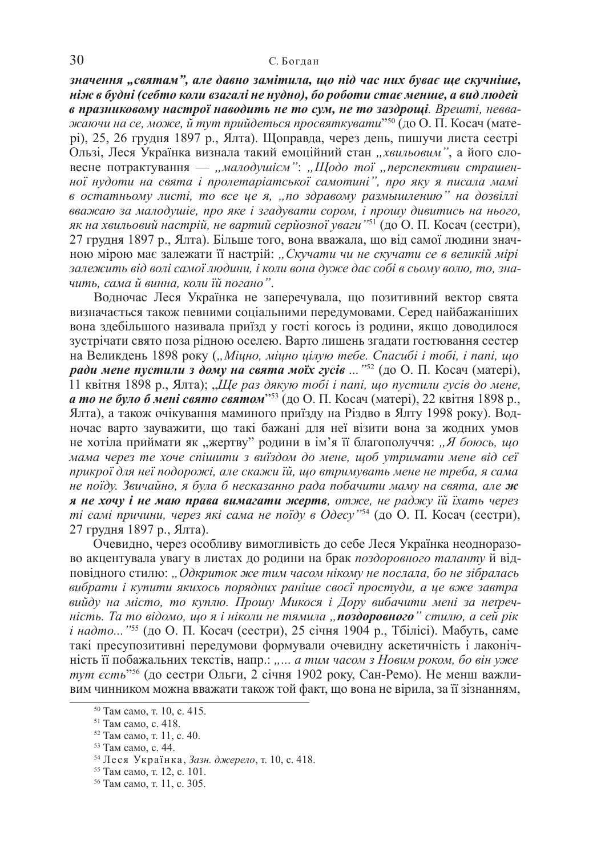значення "святам", але давно замітила, що під час них буває ще скучніше,  $\vec{H}$ *Hist в будні (себто коли взагалі не нудно), бо роботи стає менше, а вид людей*  $\boldsymbol{\delta}$  **празниковому настрої наводить не то сум, не то заздрощі**. Врешті, невва- $\,$ жаючи на се, може, й тут прийдеться просвяткувати $^{''50}$  (до О. П. Косач (матері), 25, 26 грудня 1897 р., Ялта). Щоправда, через день, пишучи листа сестрі Ользі, Леся Українка визнала такий емоційний стан "хвильовим", а його словесне потрактування — "малодушієм": "Щодо тої "перспективи страшен- $\mu$ юї нудоти на свята і пролетаріатської самотині", про яку я писала мамі  $\boldsymbol{\beta}$  *остатньому листі, то все це я, "по здравому размышлению" на дозвіллі ɜɜɚɠɚɸ ɡɚ ɦɚɥɨɞɭɲɿɟ, ɩɪɨ ɹɤɟ ɿ ɡɝɚɞɭɜɚɬɢ ɫɨɪɨɦ, ɿ ɩɪɨɲɭ ɞɢɜɢɬɢɫɶ ɧɚ ɧɶɨɝɨ,*  як на хвильовий настрій, не вартий серйозної уваги ''<sup>51</sup> (до О. П. Косач (сестри), 27 грудня 1897 p., Ялта). Більше того, вона вважала, що від самої людини значною мірою має залежати її настрій: "Скучати чи не скучати се в великій мірі залежить від волі самої людини, і коли вона дуже дає собі в сьому волю, то, зна*ɱɢɬɶ, ɫɚɦɚ ɣ ɜɢɧɧɚ, ɤɨɥɢ ʀɣ ɩɨɝɚɧɨ"*.

Водночас Леся Українка не заперечувала, що позитивний вектор свята визначається також певними соціальними передумовами. Серед найбажаніших вона здебільшого називала приїзд у гості когось із родини, якщо доводилося зустрічати свято поза рідною оселею. Варто лишень згадати гостювання сестер на Великдень 1898 року ("Міцно, міцно цілую тебе. Спасибі і тобі, і папі, що **ради мене пустили з дому на свята моїх гусів ...** "<sup>52</sup> (до О. П. Косач (матері), 11 квітня 1898 р., Ялта); "Ще раз дякую тобі і папі, що пустили гусів до мене, **а то не було б мені свято святом**"<sup>53</sup> (до О. П. Косач (матері), 22 квітня 1898 р., Ялта), а також очікування маминого приїзду на Різдво в Ялту 1998 року). Водночас варто зауважити, що такі бажані для неї візити вона за жодних умов не хотіла приймати як "жертву" родини в ім'я її благополуччя: "Я боюсь, що  $Mana$  через те хоче спішити з виїздом до мене, щоб утримати мене від сеї прикрої для неї подорожі, але скажи їй, що втримувать мене не треба, я сама  $\mu$ е поїду. Звичайно, я була б несказанно рада побачити маму на свята, але ж **я не хочу i не маю права вимагати жертв**, отже, не раджу їй їхать через *ті самі причини, через які сама не поїду в Одесу*<sup>154</sup> (до О. П. Косач (сестри), 27 грудня 1897 р., Ялта).

Очевидно, через особливу вимогливість до себе Леся Українка неодноразово акцентувала увагу в листах до родини на брак поздоровного таланту й відɩɨɜɿɞɧɨɝɨ ɫɬɢɥɸ: *"Ɉɞɤɪɢɬɨɤ ɠɟ ɬɢɦ ɱɚɫɨɦ ɧɿɤɨɦɭ ɧɟ ɩɨɫɥɚɥɚ, ɛɨ ɧɟ ɡɿɛɪɚɥɚɫɶ*  $\alpha$ ибрати *i купити якихось порядних раніше своєї простуди, а це вже завтра ɜɢɣɞɭ ɧɚ ɦɿɫɬɨ, ɬɨ ɤɭɩɥɸ. ɉɪɨɲɭ Ɇɢɤɨɫɹ ɿ Ⱦɨɪɭ ɜɢɛɚɱɢɬɢ ɦɟɧɿ ɡɚ ɧɟʉɪɟɱ-* $\ddot{H}$ *icmь. Та то відомо, що я і ніколи не тямила "поздоровного" стилю, а сей рік i надто...*"<sup>55</sup> (до О. П. Косач (сестри), 25 січня 1904 p., Тбілісі). Мабуть, саме такі пресупозитивні передумови формували очевидну аскетичність і лаконічність її побажальних текстів, напр.: "... а тим часом з Новим роком, бо він уже *тут єсть*<sup>156</sup> (до сестри Ольги, 2 січня 1902 року, Сан-Ремо). Не менш важливим чинником можна вважати також той факт, що вона не вірила, за її зізнанням,

<sup>&</sup>lt;sup>50</sup> Там само, т. 10, с. 415.

<sup>&</sup>lt;sup>51</sup> Там само, с. 418.

<sup>&</sup>lt;sup>52</sup> Там само, т. 11, с. 40.

<sup>&</sup>lt;sup>53</sup> Там само, с. 44.

<sup>54</sup> Леся Українка, Зазн. джерело, т. 10, с. 418.

<sup>&</sup>lt;sup>55</sup> Там само, т. 12, с. 101.

<sup>&</sup>lt;sup>56</sup> Там само, т. 11, с. 305.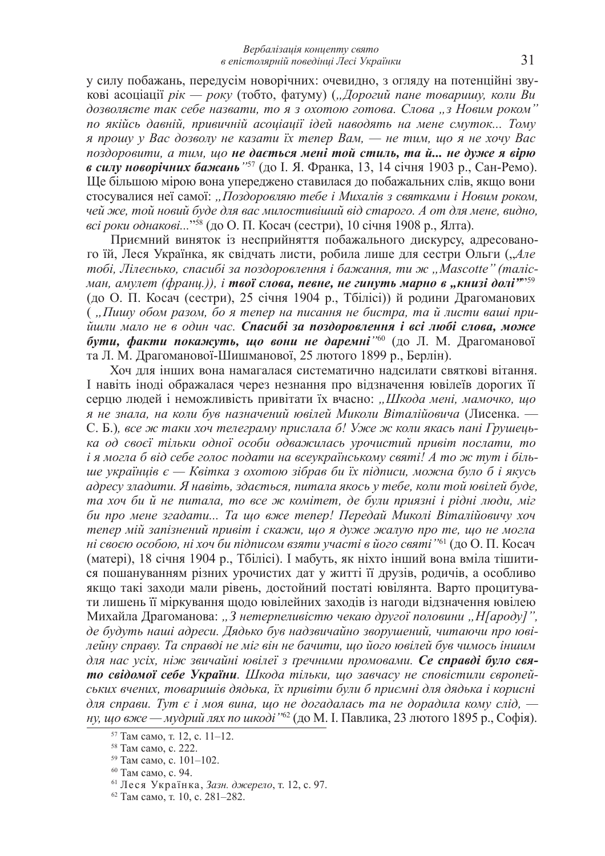у силу побажань, передусім новорічних: очевидно, з огляду на потенційні звукові асоціації рік — року (тобто, фатуму) ("Дорогий пане товаришу, коли Ви  $\partial$ озволяєте так себе назвати, то я з охотою готова. Слова "з Новим роком" по якійсь давній, привичній асоціації ідей наводять на мене смуток... Тому  $\alpha$  прошу у Вас дозволу не казати їх тепер Вам, — не тим, що я не хочу Вас  $n_{03}$ доровити, а тим, шо не дається мені той стиль, та й... не дуже я вірю *в силу новорічних бажань* "<sup>57</sup> (до І. Я. Франка, 13, 14 січня 1903 р., Сан-Ремо). Ще більшою мірою вона упереджено ставилася до побажальних слів, якщо вони стосувалися неї самої: "Поздоровляю тебе і Михалів з святками і Новим роком, *чей же, той новий буде для вас милостивіший від старого. А от для мене, видно, всі роки однакові...*"<sup>58</sup> (до О. П. Косач (сестри), 10 січня 1908 р., Ялта).

Приємний виняток із несприйняття побажального дискурсу, адресованого їй, Леся Українка, як свідчать листи, робила лише для сестри Ольги ("Але  $m$ обі, Лілеєнько, спасибі за поздоровлення і бажання, ти ж "Mascotte" (таліс*ɦɚɧ, ɚɦɭɥɟɬ (ɮɪɚɧɰ.)), ɿ ɬɜɨʀ ɫɥɨɜɚ, ɩɟɜɧɟ, ɧɟ ɝɢɧɭɬɶ ɦɚɪɧɨ ɜ "ɤɧɢɡɿ ɞɨɥɿ"*" 59 (до О. П. Косач (сестри), 25 січня 1904 р., Тбілісі)) й родини Драгоманових ( "Пишу обом разом, бо я тепер на писання не бистра, та й листи ваші прийшли мало не в один час. Спасибі за поздоровлення і всі любі слова, може  $\pmb{\delta}$ ути, факти покажуть, що вони не даремні<sup>760</sup> (до Л. М. Драгоманової та Л. М. Драгоманової-Шишманової, 25 лютого 1899 р., Берлін).

Хоч для інших вона намагалася систематично надсилати святкові вітання. I навіть іноді ображалася через незнання про відзначення ювілеїв дорогих її серцю людей і неможливість привітати їх вчасно: "Шкода мені, мамочко, що я не знала, на коли був назначений ювілей Миколи Віталійовича (Лисенка. — С. Б.), все ж таки хоч телеграму прислала б! Уже ж коли якась пані Грушець $k$ а од своєї тільки одної особи одважилась урочистий привіт послати, то  $i$  я могла б від себе голос подати на всеукраїнському святі! А то ж тут і біль*ие українців є — Квітка з охотою зібрав би їх підписи, можна було б і якусь*  $a$ дресу зладити. Я навіть, здається, питала якось у тебе, коли той ювілей буде,  $ma$  *xoч би*  $\ddot{u}$  *не питала, то все ж комітет, де були приязні і рідні люди, міг* **би про мене згадати... Та що вже тепер! Передай Миколі Віталійовичу хоч**  $m$ епер мій запізнений привіт і скажи, шо я дуже жалую про те, шо не могла *ні своєю особою, ні хоч би підписом взяти участі в його святі ''* $^{\rm 61}$  (до О. П. Косач (матері), 18 січня 1904 p., Тбілісі). І мабуть, як ніхто інший вона вміла тішитися пошануванням різних урочистих лат у житті її друзів, родичів, а особливо якщо такі заходи мали рівень, достойний постаті ювілянта. Варто процитувати лишень її міркування щодо ювілейних заходів із нагоди відзначення ювілею Михайла Драгоманова: "З нетерпеливістю чекаю другої половини "Н[ароду]",  $\partial e$  будуть наші адреси. Дядько був надзвичайно зворушений, читаючи про ювідейну справу. Та справді не міг він не бачити, що його ювілей був чимось іншим  $\partial_{\mathcal{A}}$ я нас усіх, ніж звичайні ювілеї з ґречними промовами. Се справді було свя**то свідомої себе України**. Шкода тільки, що завчасу не сповістили європей $c$ *ьких вчених, товаришів дядька, їх привіти були б приємні для дядька і корисні*  $\partial$ ля справи. Тут  $\epsilon$  *i* моя вина, що не догадалась та не дорадила кому слід, *ну, що вже — мудрий лях по шкоді ''*62 (до М. І. Павлика, 23 лютого 1895 р., Софія).

 $57$  Там само, т. 12, с. 11–12.

<sup>&</sup>lt;sup>58</sup> Там само, с. 222.

 $59$  Там само, с. 101–102.

<sup>&</sup>lt;sup>60</sup> Там само, с. 94.

<sup>61</sup> Леся Українка, Зазн. джерело, т. 12, с. 97.

<sup>&</sup>lt;sup>62</sup> Там само, т. 10, с. 281–282.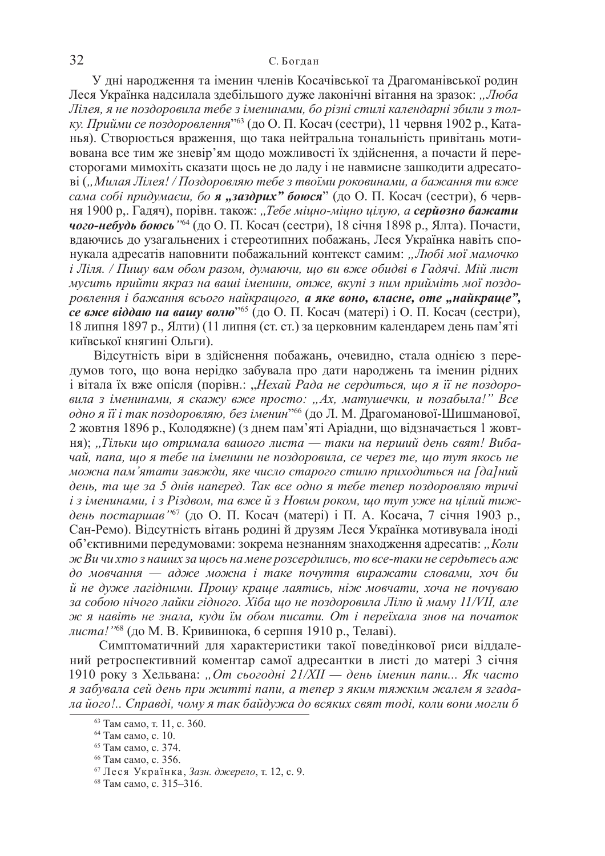У дні народження та іменин членів Косачівської та Драгоманівської родин Леся Українка надсилала здебільшого дуже лаконічні вітання на зразок: "Люба  $J$ lілея, я не поздоровила тебе з іменинами, бо різні стилі календарні збили з тол*ку. Прийми се поздоровлення*"<sup>63</sup> (до О. П. Косач (сестри), 11 червня 1902 р., Катанья). Створюється враження, що така нейтральна тональність привітань мотивована все тим же зневір'ям щодо можливості їх здійснення, а почасти й пересторогами мимохіть сказати щось не до ладу і не навмисне зашкодити адресатоъі ("Милая Лілея! / Поздоровляю тебе з твоїми роковинами, а бажання ти вже *cама собі придумаєш, бо я "заздрих" боюся*" (до О. П. Косач (сестри), 6 червня 1900 р.. Гадяч), порівн. також: "Тебе міцно-міцно цілую, а серйозно бажати **чого-небудь боюсь** <sup>164</sup> (до О. П. Косач (сестри), 18 січня 1898 р., Ялта). Почасти, вдаючись до узагальнених і стереотипних побажань, Леся Українка навіть спонукала адресатів наповнити побажальний контекст самим: "Любі мої мамочко  $i$  Ліля. / Пишу вам обом разом, думаючи, що ви вже обидві в Гадячі. Мій лист  $M$ үсить прийти якраз на ваші іменини, отже, вкупі з ним прийміть мої поздо $po$ *влення і бажання всього найкращого*, **а яке воно, власне, оте "найкраще",** *се вже віддаю на вашу волю***<sup>265</sup>** (до О. П. Косач (матері) і О. П. Косач (сестри), 18 липня 1897 р., Ялти) (11 липня (ст. ст.) за церковним календарем день пам'яті київської княгині Ольги).

Відсутність віри в здійснення побажань, очевидно, стала однією з передумов того, що вона нерідко забувала про дати народжень та іменин рідних і вітала їх вже опісля (порівн.: "Нехай Рада не сердиться, що я її не поздоро- $\varepsilon$ ила з іменинами, я скажу вже просто: "Ах, матушечки, и позабыла!" Все *одно я її і так поздоровляю, без іменин*"<sup>66</sup> (до Л. М. Драгоманової-Шишманової, 2 жовтня 1896 р., Колодяжне) (з днем пам'яті Аріадни, що відзначається 1 жовт-<u>ня); "Тільки що отримала вашого листа — таки на перший день свят! Виба-</u> *чай, папа, що я тебе на іменини не поздоровила, се через те, що тут якось не*  $M$ <sub>*M*</sub> $O$ *XHa nam*<sup>2</sup> *M*<sub> $I$ </sub> *dal Huu 3a Bxcdu, RKe число старого стилю приходиться на [да]ний*  $\partial$ ень, та ще за 5 днів наперед. Так все одно я тебе тепер поздоровляю тричі і з іменинами, і з Різдвом, та вже й з Новим роком, що тут уже на цілий тиждень постаршав<sup>167</sup> (до О. П. Косач (матері) і П. А. Косача, 7 січня 1903 р., Сан-Ремо). Відсутність вітань родині й друзям Леся Українка мотивувала іноді об'єктивними передумовами: зокрема незнанням знаходження адресатів: "Коли *ɠ ȼɢ ɱɢ ɯɬɨ ɡ ɧɚɲɢɯ ɡɚ ɳɨɫɶ ɧɚɦɟɧɟ ɪɨɡɫɟɪɞɢɥɢɫɶ, ɬɨ ɜɫɟ-ɬɚɤɢ ɧɟ ɫɟɪɞɶɬɟɫɶ ɚɠ*  $\partial$ *о* мовчання — адже можна і таке почуття виражати словами, хоч би  $\ddot{u}$  не дуже лагідними. Прошу краще лаятись, ніж мовчати, хоча не почуваю за собою нічого лайки гідного. Хіба що не поздоровила Лілю й маму 11/VII, але  $x^2 + 3$   $x^3 + 24$   $x^2 + 3$   $x^3 + 24$   $x^2 + 3$   $x^2 + 24$   $x^3 + 24$   $x^2 + 24$   $x^2 + 24$   $x^2 + 24$   $x^2 + 24$   $x^2 + 24$   $x^2 + 24$   $x^2 + 24$   $x^2 + 24$   $x^2 + 24$   $x^2 + 24$   $x^2 + 24$   $x^2 + 24$   $x^2 + 24$   $x^2 + 24$   $x^2 + 24$   $x$ *листа!*"<sup>68</sup> (до М. В. Кривинюка, 6 серпня 1910 р., Телаві).

Симптоматичний для характеристики такої поведінкової риси віддалений ретроспективний коментар самої адресантки в листі до матері 3 січня 1910 року з Хельвана: "От сьогодні 21/*XII* — день іменин папи... Як часто я забувала сей день при житті папи, а тепер з яким тяжким жалем я згадада його!.. Справді, чому я так байдужа до всяких свят тоді, коли вони могли б

<sup>&</sup>lt;sup>63</sup> Там само, т. 11, с. 360.

<sup>&</sup>lt;sup>64</sup> Там само, с. 10.

<sup>&</sup>lt;sup>65</sup> Там само, с. 374.

<sup>&</sup>lt;sup>66</sup> Там само, с. 356.

<sup>67</sup> Леся Українка, Зазн. джерело, т. 12, с. 9.

<sup>&</sup>lt;sup>68</sup> Там само, с. 315–316.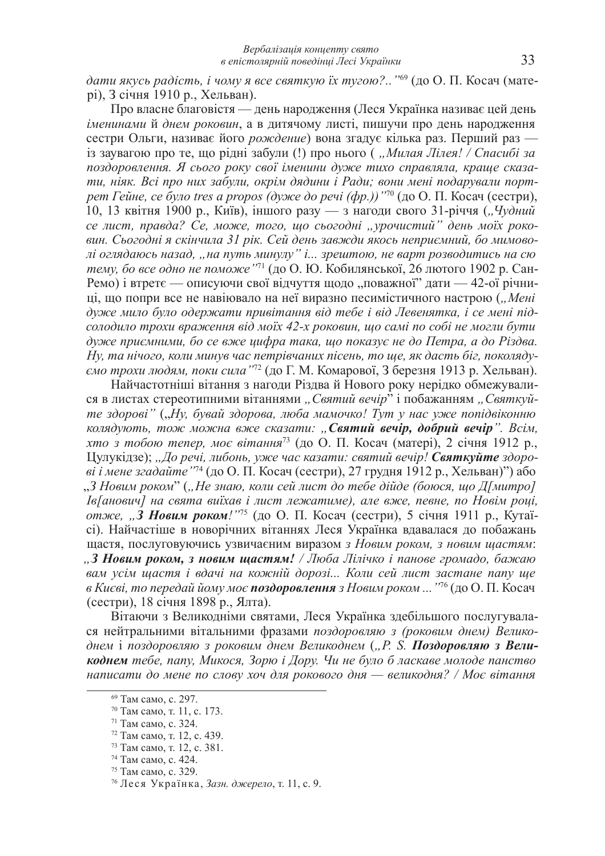$\delta$ ати якусь радість, і чому я все святкую їх тугою?.. "<sup>69</sup> (до О. П. Косач (матері), 3 січня 1910 р., Хельван).

Про власне благовістя — день народження (Леся Українка називає цей день *iменинами* й днем роковин, а в дитячому листi, пишучи про день народження сестри Ольги, називає його рождение) вона згадує кілька раз. Перший раз  $i$ з заувагою про те, що рідні забули (!) про нього ("Милая Лілея! / Спасибі за поздоровлення. Я сього року свої іменини дуже тихо справляла, краще сказати, ніяк. Всі про них забули, окрім дядини і Ради; вони мені подарували порт*pem Гейне, се було tres a propos (дуже до речі (фр.))*<sup>170</sup> (до О. П. Косач (сестри), 10, 13 квітня 1900 р., Київ), іншого разу — з нагоди свого 31-річчя ("Чудний  $ce$  лист, правда? Се, може, того, що сьогодні "урочистий" день моїх роко*ɜɢɧ. ɋɶɨɝɨɞɧɿ ɹ ɫɤɿɧɱɢɥɚ 31 ɪɿɤ. ɋɟɣ ɞɟɧɶ ɡɚɜɠɞɢ ɹɤɨɫɶ ɧɟɩɪɢɽɦɧɢɣ, ɛɨ ɦɢɦɨɜɨ-* $\overline{I}$ *и* оглядаюсь назад, "на путь минулу" *i...* зрештою, не варт розводитись на сю *тему, бо все одно не поможе"*71 (до О. Ю. Кобилянської, 26 лютого 1902 р. Сан-Ремо) і втретє — описуючи свої відчуття щодо "поважної" дати — 42-ої річниці, що попри все не навіювало на неї виразно песимістичного настрою ("Мені дуже мило було одержати привітання від тебе і від Левенятка, і се мені під- $\alpha$ *konодило трохи враження від моїх 42-х роковин, що самі по собі не могли бути*  $\partial$ уже приємними, бо се вже шифра така, шо показує не до Петра, а до Різдва.  $H$ у, та нічого, коли минув час петрівчаних пісень, то ще, як дасть біг, поколяду*ємо трохи людям, поки сила* "<sup>72</sup> (до Г. М. Комарової, З березня 1913 р. Хельван).

Найчастотніші вітання з нагоди Різдва й Нового року нерідко обмежувалися в листах стереотипними вітаннями "Святий вечір" і побажанням "Святкуй $me$  здорові" ("Ну, бувай здорова, люба мамочко! Тут у нас уже попідвіконню **колядують, тож можна вже сказати: "Святий вечір, добрий вечір".** Всім, *хто з тобою тепер, моє вітання*<sup>73</sup> (до О. П. Косач (матері), 2 січня 1912 р., Цулукідзе); "До речі, либонь, уже час казати: святий вечір! Святкуйте здоро*ві і мене згадайте* "<sup>74</sup> (до О. П. Косач (сестри), 27 грудня 1912 р., Хельван)") або  $\Box$ <sup>3</sup> Новим роком" ("Не знаю, коли сей лист до тебе дійде (боюся, що Д[митро] *<u><i><i>I*<sub>8</sub></del> $[alpha]$  *Ha cesma euïxae i лист лежатиме*), *але вже, певне, по Новім році*,</u>  $\mu$ *<sub>z</sub>*  $\mu$ *<sub>z</sub>*  $\mu$ *<sub>z</sub>*  $\mu$ *<sub>z</sub>*  $\mu$ *<sub>z</sub>*  $\mu$ *<sub>z</sub>*  $\mu$ *<sub>z</sub>*  $\mu$ *<sub>z</sub>*  $\mu$ *<sub>z</sub>*  $\mu$ *<sub>z</sub>*  $\mu$ *<sub>z</sub>*  $\mu$ *<sub>z</sub>*  $\mu$ *<sub>z</sub>*  $\mu$ *<sub>z</sub>*  $\mu$ *<sub>z</sub>*  $\mu$ *<sub>z</sub>*  $\mu$ *<sub>z</sub>*  $\mu$ *<sub>z</sub>*  $\mu$ *<sub>z</sub>*  $\mu$ *<sub>z</sub>*  $\mu$ *<sub>z</sub>*  $\mu$ *<sub>z</sub>*  $\mu$ *<sub>z</sub>*  $\mu$ *<sub>z</sub>*  $\mu$ *<sub>z</sub>*  $\mu$ *<sub>z</sub>*  $\mu$ *<sub>z</sub> \mu* сі). Найчастіше в новорічних вітаннях Леся Українка вдавалася до побажань щастя, послуговуючись узвичаєним виразом з Новим роком, з новим щастям: **, 3 Новим роком, з новим щастям!** / Люба Лілічко і панове громадо, бажаю *ɜɚɦ ɭɫɿɦ ɳɚɫɬɹ ɿ ɜɞɚɱɿ ɧɚ ɤɨɠɧɿɣ ɞɨɪɨɡɿ... Ʉɨɥɢ ɫɟɣ ɥɢɫɬ ɡɚɫɬɚɧɟ ɩɚɩɭ ɳɟ*  $\alpha$  *Kuєві, то передай йому моє поздоровлення з Новим роком ...* "<sup>76</sup> (до О. П. Косач (сестри), 18 січня 1898 р., Ялта).

Вітаючи з Великодніми святами, Леся Українка здебільшого послугувалася нейтральними вітальними фразами поздоровляю з (роковим днем) Великоднем і поздоровляю з роковим днем Великоднем ("Р. S. Поздоровляю з Вели**коднем** тебе, папу, Микося, Зорю і Дору. Чи не було б ласкаве молоде панство  $\mu$ аписати до мене по слову хоч для рокового дня — великодня? / Моє вітання

<sup>&</sup>lt;sup>69</sup> Там само, с. 297.

<sup>&</sup>lt;sup>70</sup> Там само, т. 11, с. 173.

<sup>&</sup>lt;sup>71</sup> Там само, с. 324.

<sup>&</sup>lt;sup>72</sup> Там само, т. 12, с. 439.

<sup>&</sup>lt;sup>73</sup> Там само, т. 12, с. 381.

 $74$  Tam camo, c. 424.

<sup>&</sup>lt;sup>75</sup> Там само, с. 329.

<sup>76</sup> Леся Українка, Зазн. джерело, т. 11, с. 9.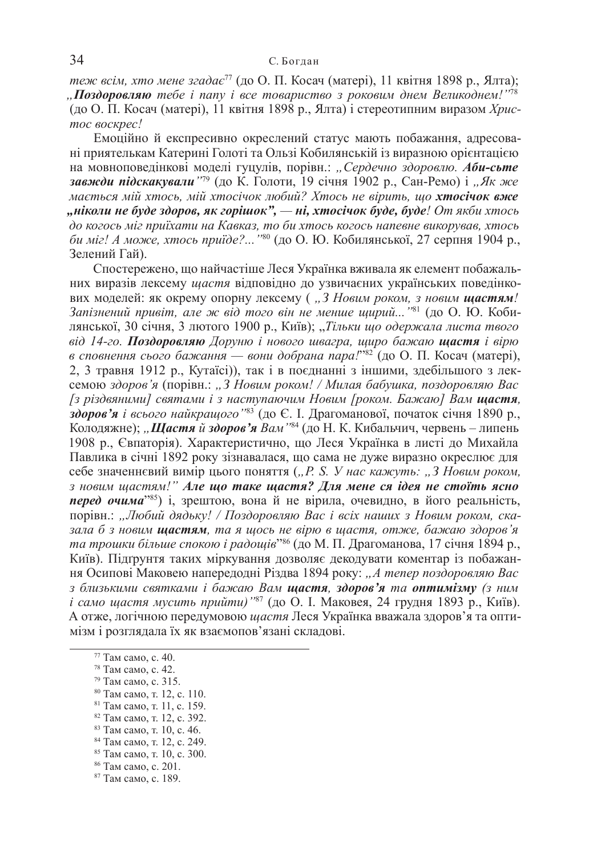*теж всім, хто мене згадає*<sup>77</sup> (до О. П. Косач (матері), 11 квітня 1898 р., Ялта);  $\overline{J}$ **, Поздоровляю** тебе *i nany i все товариство з роковим днем Великоднем!*"<sup>78</sup> (до О. П. Косач (матері), 11 квітня 1898 р., Ялта) і стереотипним виразом *Хрис* $moc$  *воскрес!* 

Емоційно й експресивно окреслений статус мають побажання, адресовані приятелькам Катерині Голоті та Ользі Кобилянській із виразною орієнтацією <u>на мовноповедінкові моделі гуцулів, порівн.: "Сердечно здоровлю. Аби-сьте</u> **завжди підскакували** "<sup>79</sup> (до К. Голоти, 19 січня 1902 р., Сан-Ремо) і "Як же  $Mae$ mься мій хтось, мій хтосічок любий? Хтось не вірить, що хтосічок вже  $^{\prime}$ , ніколи не буде здоров, як горішок", — ні, хтосічок буде, буде! От якби хтось  $\partial$ <sub>*д*</sub> *когось міг приїхати на Кавказ, то би хтось когось напевне викорував, хтось*  $\alpha$  *fou mie! А може, хтось приїде?...* "<sup>80</sup> (до О. Ю. Кобилянської, 27 серпня 1904 р., Зелений Гай).

Спостережено, що найчастіше Леся Українка вживала як елемент побажальних виразів лексему *щастя* відповідно до узвичаєних українських поведінко-<u>вих моделей: як окрему опорну лексему ("3 Новим роком, з новим шастям!</u> Запізнений привіт, але ж від того він не менше щирий..."<sup>81</sup> (до О. Ю. Кобилянської, 30 січня, 3 лютого 1900 р., Київ); "*Тільки що одержала листа твого*  $\overline{64}$  *14-<i>zo*. **Поздоровляю** Доруню *і* нового швагра, щиро бажаю **щастя** *і* вірю *в сповнення сього бажання — вони добрана пара!"<sup>82</sup> (до О. П. Косач (матері),* 2, 3 травня 1912 р., Кутаїсі)), так і в поєднанні з іншими, здебільшого з лексемою здоров'я (порівн.: "З Новим роком! / Милая бабушка, поздоровляю Вас *[ɡ ɪɿɡɞɜɹɧɢɦɢ] ɫɜɹɬɚɦɢ ɿ ɡ ɧɚɫɬɭɩɚɸɱɢɦ ɇɨɜɢɦ [ɪɨɤɨɦ. Ȼɚɠɚɸ] ȼɚɦ ɳɚɫɬɹ,*  **здоров'я** і всього найкращого <sup>183</sup> (до Є. І. Драгоманової, початок січня 1890 р., Колодяжне); "*Щастя й здоров'я Вам* "<sup>84</sup> (до Н. К. Кибальчич, червень – липень 1908 р., Євпаторія). Характеристично, що Леся Українка в листі до Михайла Павлика в січні 1892 року зізнавалася, що сама не дуже виразно окреслює для себе значеннєвий вимір цього поняття ("Р. S. У нас кажуть: "З Новим роком,  $\alpha$  *выли щастям!" Але що таке щастя? Для мене ся ідея не стоїть ясно перед очима*<sup>185</sup>) і, зрештою, вона й не вірила, очевидно, в його реальність, порівн.: "Любий дядьку! / Поздоровляю Вас і всіх наших з Новим роком, ска- $3a\overline{a}$  *б**3* **новим <b>шастям**, та я шось не вірю в шастя, отже, бажаю здоров'я *та трошки більше спокою і радощів*"<sup>86</sup> (до М. П. Драгоманова, 17 січня 1894 р., Київ). Підґрунтя таких міркування дозволяє декодувати коментар із побажання Осипові Маковею напередодні Різдва 1894 року: "А тепер поздоровляю Вас **з близькими святками і бажаю Вам щастя, здоров'я та оптимізму (з ним** *i cамо щастя мусить прийти*)<sup>"87</sup> (до О. I. Маковея, 24 грудня 1893 р., Київ). А отже, логічною передумовою *шастя* Леся Українка вважала здоров'я та оптимізм і розглядала їх як взаємопов'язані складові.

- 79 Там само, с. 315.
- <sup>80</sup> Там само, т. 12, с. 110.
- <sup>81</sup> Там само, т. 11, с. 159.
- <sup>82</sup> Там само, т. 12, с. 392.
- $83$  Tam camo, t. 10, c. 46.
- <sup>84</sup> Там само, т. 12, с. 249.
- <sup>85</sup> Там само, т. 10, с. 300.
- <sup>86</sup> Там само, с. 201.
- <sup>87</sup> Там само, с. 189.

 $77$  Там само, с. 40.

<sup>&</sup>lt;sup>78</sup> Там само, с. 42.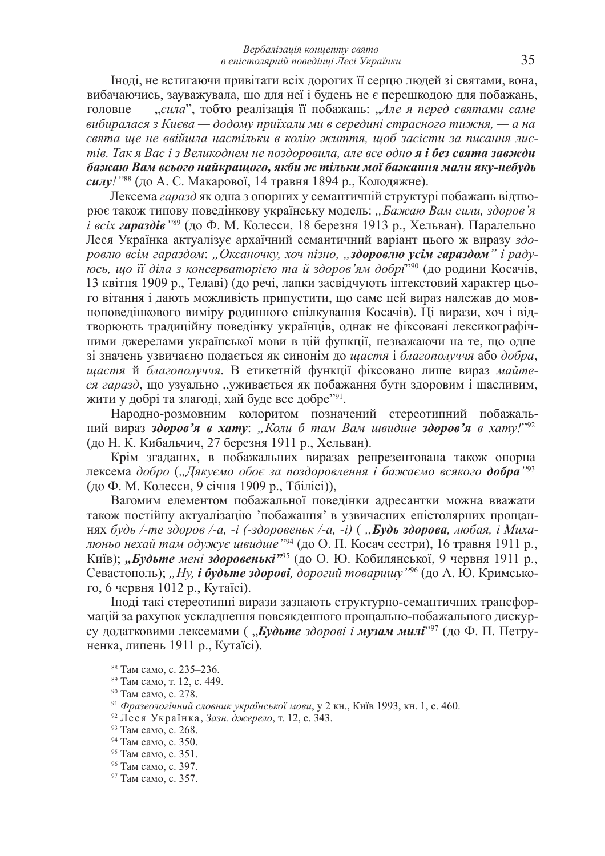Іноді, не встигаючи привітати всіх дорогих її серцю людей зі святами, вона, вибачаючись, зауважувала, що для неї і будень не є перешкодою для побажань, головне — "*сила*", тобто реалізація її побажань: "Але я перед святами саме  $\alpha$ ибиралася з Києва — додому приїхали ми в середині страсного тижня, — а на свята ще не ввійшла настільки в колію життя, щоб засісти за писання лис-*Mie. Так я Вас і з Великоднем не поздоровила, але все одно я і без свята завжди*  $6a$ жаю Вам всього найкращого, якби ж тільки мої бажання мали яку-небудь *силу!*"<sup>88</sup> (до А. С. Макарової, 14 травня 1894 р., Колодяжне).

Лексема *гаразд* як одна з опорних у семантичній структурі побажань відтворює також типову поведінкову українську модель: "Бажаю Вам сили, здоров'я *і всіх гараздів* <sup>189</sup> (до Ф. М. Колесси, 18 березня 1913 р., Хельван). Паралельно Леся Українка актуалізує архаїчний семантичний варіант цього ж виразу здо**ровлю всім гараздом: "Оксаночку, хоч пізно, "здоровлю усім гараздом" і раду***юсь, що її діла з консерваторією та й здоров'ям добрі<sup>290</sup> (до родини Косачів,* 13 квітня 1909 р., Телаві) (до речі, лапки засвідчують інтекстовий характер цього вітання і дають можливість припустити, що саме цей вираз належав до мовноповедінкового виміру родинного спілкування Косачів). Ці вирази, хоч і відтворюють традиційну поведінку українців, однак не фіксовані лексикографічними джерелами української мови в цій функції, незважаючи на те, що одне зі значень узвичаєно подається як синонім до шастя і благополуччя або добра, **идстя** й благополуччя. В етикетній функції фіксовано лише вираз майтеся *гаразд*, що узуально "уживається як побажання бути здоровим і щасливим, жити у добрі та злагоді, хай буде все добре<sup>391</sup>.

Народно-розмовним колоритом позначений стереотипний побажаль- $\frac{1}{2}$  вираз здоров'я в хату: "Коли б там Вам швидше здоров'я в хату!" $^{92}$ (до Н. К. Кибальчич, 27 березня 1911 р., Хельван).

Крім згаданих, в побажальних виразах репрезентована також опорна лексема добро ("Дякуємо обоє за поздоровлення і бажаємо всякого **добра**"<sup>93</sup> (до Ф. М. Колесси, 9 січня 1909 р., Тбілісі)),

Вагомим елементом побажальної поведінки адресантки можна вважати також постійну актуалізацію 'побажання' в узвичаєних епістолярних прощаннях будь /-те здоров /-а, -i (-здоровеньк /-а, -i) ("**Будь здорова**, любая, i Миха*люньо нехай там одужує швидше* "<sup>94</sup> (до О. П. Косач сестри), 16 травня 1911 р., Київ); *"Будьте мені здоровенькі*<sup>395</sup> (до О. Ю. Кобилянської, 9 червня 1911 р., Севастополь); *"Ну, і будьте здорові, дорогий товаришу* <sup>796</sup> (до А. Ю. Кримського, 6 червня 1012 p., Кутаїсі).

Іноді такі стереотипні вирази зазнають структурно-семантичних трансформацій за рахунок ускладнення повсякденного прощально-побажального дискурсу додатковими лексемами ( "*Будьте здорові і музам милі*"<sup>997</sup> (до Ф. П. Петруненка, липень 1911 p., Кутаїсі).

<sup>&</sup>lt;sup>88</sup> Там само, с. 235–236.

<sup>&</sup>lt;sup>89</sup> Там само, т. 12, с. 449.

<sup>&</sup>lt;sup>90</sup> Там само, с. 278.

<sup>&</sup>lt;sup>91</sup> Фразеологічний словник української мови, у 2 кн., Київ 1993, кн. 1, с. 460.

<sup>92</sup> Леся Українка, Зазн. джерело, т. 12, с. 343.

<sup>93</sup> Там само, с. 268.

<sup>&</sup>lt;sup>94</sup> Там само, с. 350.

<sup>95</sup> Там само, с. 351.

<sup>&</sup>lt;sup>96</sup> Там само, с. 397.

<sup>&</sup>lt;sup>97</sup> Там само, с. 357.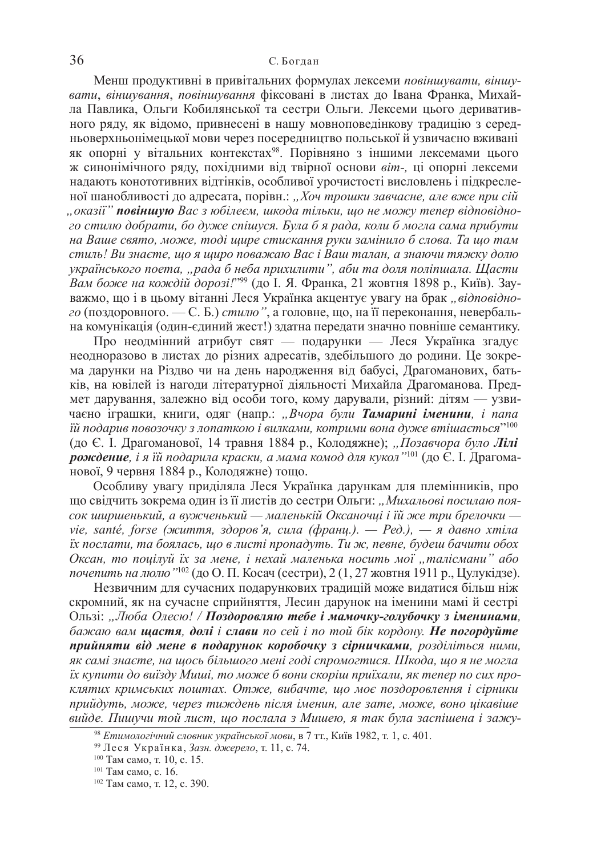Менш продуктивні в привітальних формулах лексеми повіншувати, віншувати, віншування, повіншування фіксовані в листах до Івана Франка, Михайла Павлика, Ольги Кобилянської та сестри Ольги. Лексеми цього деривативного ряду, як відомо, привнесені в нашу мовноповедінкову традицію з середньоверхньонімецької мови через посередництво польської й узвичаєно вживані як опорні у вітальних контекстах<sup>98</sup>. Порівняно з іншими лексемами цього ж синонімічного ряду, похідними від твірної основи віт-, ці опорні лексеми надають конототивних відтінків, особливої урочистості висловлень і підкресленої шанобливості до адресата, порівн.: "Хоч трошки завчасне, але вже при сій  $'$ "оказії" повіншую Вас з юбілеєм, шкода тільки, що не можу тепер відповідно- $20$  *стилю добрати, бо дуже спішуся. Була б я рада, коли б могла сама прибути*  $H$ *на Ваше свято, може, тоді щире стискання руки замінило б слова. Та що там*  $c$ *muль! Ви знаєте, що я щиро поважаю Вас і Ваш талан, а знаючи тяжку долю українського поета, "рада б неба прихилити", аби та доля поліпшала. Щасти Вам боже на кождій дорозі!*"<sup>99</sup> (до І. Я. Франка, 21 жовтня 1898 р., Київ). Зауважмо, що і в цьому вітанні Леся Українка акцентує увагу на брак "відповідного (поздоровного. — С. Б.) стилю", а головне, що, на її переконання, невербальна комунікація (один-єдиний жест!) здатна передати значно повніше семантику.

Про неодмінний атрибут свят — подарунки — Леся Українка згадує неодноразово в листах до різних адресатів, здебільшого до родини. Це зокрема дарунки на Різдво чи на день народження від бабусі, Драгоманових, батьків, на ювілей із нагоди літературної діяльності Михайла Драгоманова. Предмет дарування, залежно від особи того, кому дарували, різний: дітям — узвичаєно іграшки, книги, одяг (напр.: "Вчора були Тамарині іменини, і папа  $i\check u$  подарив повозочку з лопаткою  $i$  вилками, котрими вона дуже втішається $^{r_{100}}$ (до Є. І. Драгоманової, 14 травня 1884 р., Колодяжне); *"Позавчора було Лілі*  $\bm{p}$ ождение, і я їй подарила краски, а мама комод для кукол'' $^{101}$  (до Є. І. Драгоманової, 9 червня 1884 р., Колодяжне) тощо.

Особливу увагу приділяла Леся Українка дарункам для племінників, про що свідчить зокрема один із її листів до сестри Ольги: "Михальові посилаю поя- $\cos$  ширшенький, а вужченький — маленькій Оксаночиі і їй же три брелочки *vie, santé, forse (життя, здоров'я, сила (франц.). — Ред.), — я давно хтіла*  $i$ *ix послати, та боялась, що в листі пропадуть. Ти ж, певне, будеш бачити обох Ɉɤɫɚɧ, ɬɨ ɩɨɰɿɥɭɣ ʀɯ ɡɚ ɦɟɧɟ, ɿ ɧɟɯɚɣ ɦɚɥɟɧɶɤɚ ɧɨɫɢɬɶ ɦɨʀ "ɬɚɥɿɫɦɚɧɢ" ɚɛɨ почепить на люлю* ''<sup>102</sup> (до О. П. Косач (сестри), 2 (1, 27 жовтня 1911 р., Цулукідзе).

Незвичним для сучасних подарункових традицій може видатися більш ніж скромний, як на сучасне сприйняття, Лесин дарунок на іменини мамі й сестрі Ɉɥɶɡɿ: *"Ʌɸɛɚ Ɉɥɟɫɸ! / ɉɨɡɞɨɪɨɜɥɹɸ ɬɟɛɟ ɿ ɦɚɦɨɱɤɭ-ɝɨɥɭɛɨɱɤɭ ɡ ɿɦɟɧɢɧɚɦɢ, бажаю вам щастя, долі і слави по сей і по той бік кордону. Не погордуйте* прийняти від мене в подарунок коробочку з сірничками, розділіться ними, як самі знаєте, на щось більшого мені годі спромогтися. Шкода, що я не могла ix купити до виїзду Миші, то може б вони скоріш приїхали, як тепер по сих про**клятих кримських поштах. Отже, вибачте, що моє поздоровлення і сірники**  $n$ рийдуть, може, через тиждень після іменин, але зате, може, воно цікавіше *ɜɢɣɞɟ. ɉɢɲɭɱɢ ɬɨɣ ɥɢɫɬ, ɳɨ ɩɨɫɥɚɥɚ ɡ Ɇɢɲɟɸ, ɹ ɬɚɤ ɛɭɥɚ ɡɚɫɩɿɲɟɧɚ ɿ ɡɚɠɭ-*

<sup>&</sup>lt;sup>98</sup> Етимологічний словник української мови, в 7 тт., Київ 1982, т. 1, с. 401.

<sup>99</sup> Леся Українка, Зазн. джерело, т. 11, с. 74.

<sup>&</sup>lt;sup>100</sup> Там само, т. 10, с. 15.

 $101$  Tam camo, c. 16.

<sup>&</sup>lt;sup>102</sup> Там само, т. 12, с. 390.